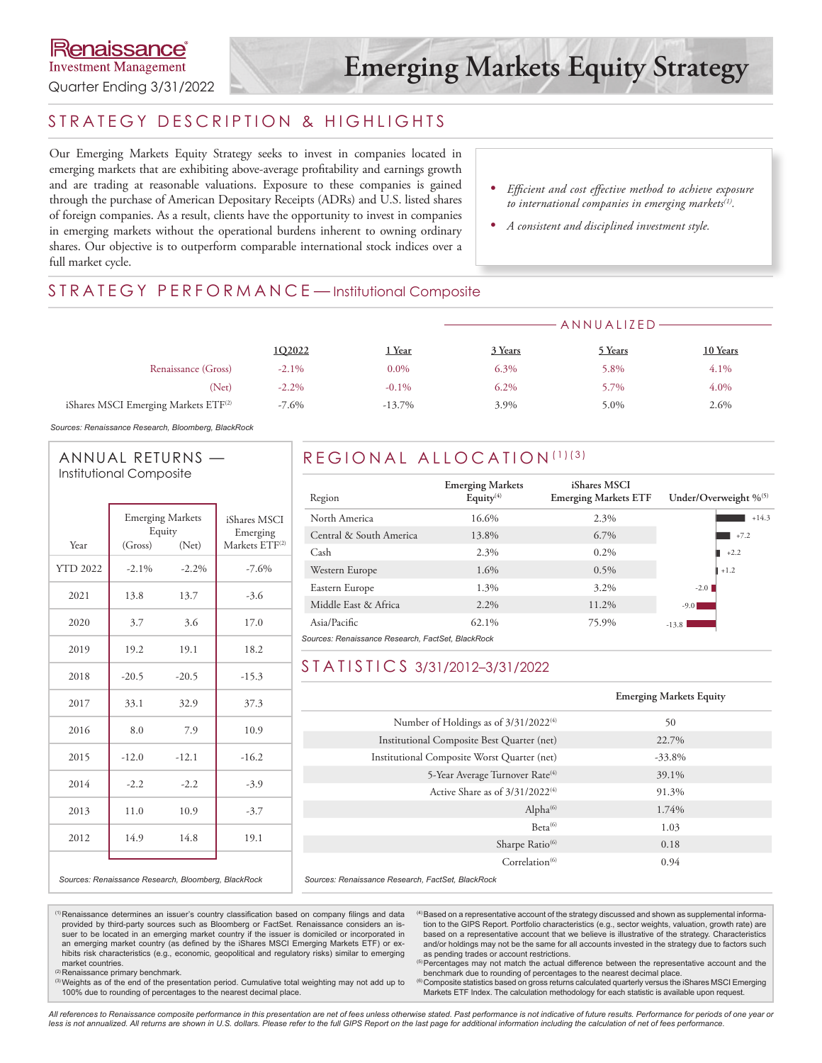### STRATEGY DESCRIPTION & HIGHLIGHTS

Our Emerging Markets Equity Strategy seeks to invest in companies located in emerging markets that are exhibiting above-average profitability and earnings growth and are trading at reasonable valuations. Exposure to these companies is gained through the purchase of American Depositary Receipts (ADRs) and U.S. listed shares of foreign companies. As a result, clients have the opportunity to invest in companies in emerging markets without the operational burdens inherent to owning ordinary shares. Our objective is to outperform comparable international stock indices over a full market cycle.

- *• Efficient and cost effective method to achieve exposure to international companies in emerging markets(1).*
- *• A consistent and disciplined investment style.*

### STRATEGY PERFORMANCE-Institutional Composite

|                                                  |          |           | ANNUALIZED- |         |          |  |
|--------------------------------------------------|----------|-----------|-------------|---------|----------|--|
|                                                  | 1Q2022   | 1 Year    | 3 Years     | 5 Years | 10 Years |  |
| Renaissance (Gross)                              | $-2.1\%$ | $0.0\%$   | 6.3%        | 5.8%    | 4.1%     |  |
| (Net)                                            | $-2.2\%$ | $-0.1\%$  | $6.2\%$     | 5.7%    | 4.0%     |  |
| iShares MSCI Emerging Markets ETF <sup>(2)</sup> | $-7.6\%$ | $-13.7\%$ | 3.9%        | 5.0%    | 2.6%     |  |

*Sources: Renaissance Research, Bloomberg, BlackRock*

### ANNUAL RETURNS — Institutional Composite

| Year            | <b>Emerging Markets</b><br>Equity<br>(Gross) | iShares MSCI<br>Emerging<br>Markets ETF <sup>(2)</sup> |         |
|-----------------|----------------------------------------------|--------------------------------------------------------|---------|
| <b>YTD 2022</b> | $-2.1\%$                                     | (Net)<br>$-2.2%$                                       | $-7.6%$ |
|                 |                                              |                                                        |         |
| 2021            | 13.8                                         | 13.7                                                   | $-3.6$  |
| 2020            | 3.7                                          | 3.6                                                    | 17.0    |
| 2019            | 19.2                                         | 19.1                                                   | 18.2    |
| 2018            | $-20.5$                                      | $-20.5$                                                | $-15.3$ |
| 2017            | 33.1                                         | 32.9                                                   | 37.3    |
| 2016            | 8.0                                          | 7.9                                                    | 10.9    |
| 2015            | $-12.0$                                      | $-12.1$                                                | $-16.2$ |
| 2014            | $-2.2$                                       | $-2.2$                                                 | $-3.9$  |
| 2013            | 11.0                                         | 10.9                                                   | $-3.7$  |
| 2012            | 14.9                                         | 14.8                                                   | 19.1    |
|                 |                                              |                                                        |         |

### REGIONAL ALLOCATION (1)(3)

| Region                                            | <b>Emerging Markets</b><br>Equity $(4)$ | iShares MSCI<br><b>Emerging Markets ETF</b> | Under/Overweight % <sup>(5)</sup> |  |  |  |  |  |
|---------------------------------------------------|-----------------------------------------|---------------------------------------------|-----------------------------------|--|--|--|--|--|
| North America                                     | 16.6%                                   | 2.3%                                        | $+14.3$                           |  |  |  |  |  |
| Central & South America                           | 13.8%                                   | 6.7%                                        | $+7.2$                            |  |  |  |  |  |
| Cash                                              | 2.3%                                    | $0.2\%$                                     | $+2.2$                            |  |  |  |  |  |
| Western Europe                                    | 1.6%                                    | $0.5\%$                                     | $+1.2$                            |  |  |  |  |  |
| Eastern Europe                                    | 1.3%                                    | 3.2%                                        | $-2.0$                            |  |  |  |  |  |
| Middle East & Africa                              | 2.2%                                    | 11.2%                                       | $-9.0$                            |  |  |  |  |  |
| Asia/Pacific                                      | 62.1%                                   | 75.9%                                       | $-13.8$                           |  |  |  |  |  |
| Sources: Renaissance Research, FactSet, BlackRock |                                         |                                             |                                   |  |  |  |  |  |

### STATISTICS 3/31/2012–3/31/2022

|                                                   | <b>Emerging Markets Equity</b> |
|---------------------------------------------------|--------------------------------|
| Number of Holdings as of 3/31/2022 <sup>(4)</sup> | 50                             |
| Institutional Composite Best Quarter (net)        | 22.7%                          |
| Institutional Composite Worst Quarter (net)       | $-33.8\%$                      |
| 5-Year Average Turnover Rate <sup>(4)</sup>       | 39.1%                          |
| Active Share as of $3/31/2022^{(4)}$              | 91.3%                          |
| Alpha <sup>(6)</sup>                              | 1.74%                          |
| $Beta^{(6)}$                                      | 1.03                           |
| Sharpe Ratio <sup>(6)</sup>                       | 0.18                           |
| Correlation <sup>(6)</sup>                        | 0.94                           |
|                                                   |                                |

*Sources: Renaissance Research, Bloomberg, BlackRock*

 *Sources: Renaissance Research, FactSet, BlackRock*

(1)Renaissance determines an issuer's country classification based on company filings and data provided by third-party sources such as Bloomberg or FactSet. Renaissance considers an issuer to be located in an emerging market country if the issuer is domiciled or incorporated in an emerging market country (as defined by the iShares MSCI Emerging Markets ETF) or exhibits risk characteristics (e.g., economic, geopolitical and regulatory risks) similar to emerging market countries.

<sup>(2)</sup> Renaissance primary benchmark.

(3) Weights as of the end of the presentation period. Cumulative total weighting may not add up to 100% due to rounding of percentages to the nearest decimal place.

(4)Based on a representative account of the strategy discussed and shown as supplemental information to the GIPS Report. Portfolio characteristics (e.g., sector weights, valuation, growth rate) are based on a representative account that we believe is illustrative of the strategy. Characteristics and/or holdings may not be the same for all accounts invested in the strategy due to factors such as pending trades or account restrictions.

<sup>(5)</sup> Percentages may not match the actual difference between the representative account and the

benchmark due to rounding of percentages to the nearest decimal place.<br>© Composite statistics based on gross returns calculated quarterly versus the iShares MSCI Emerging Markets ETF Index. The calculation methodology for each statistic is available upon request.

*All references to Renaissance composite performance in this presentation are net of fees unless otherwise stated. Past performance is not indicative of future results. Performance for periods of one year or*  less is not annualized. All returns are shown in U.S. dollars. Please refer to the full GIPS Report on the last page for additional information including the calculation of net of fees performance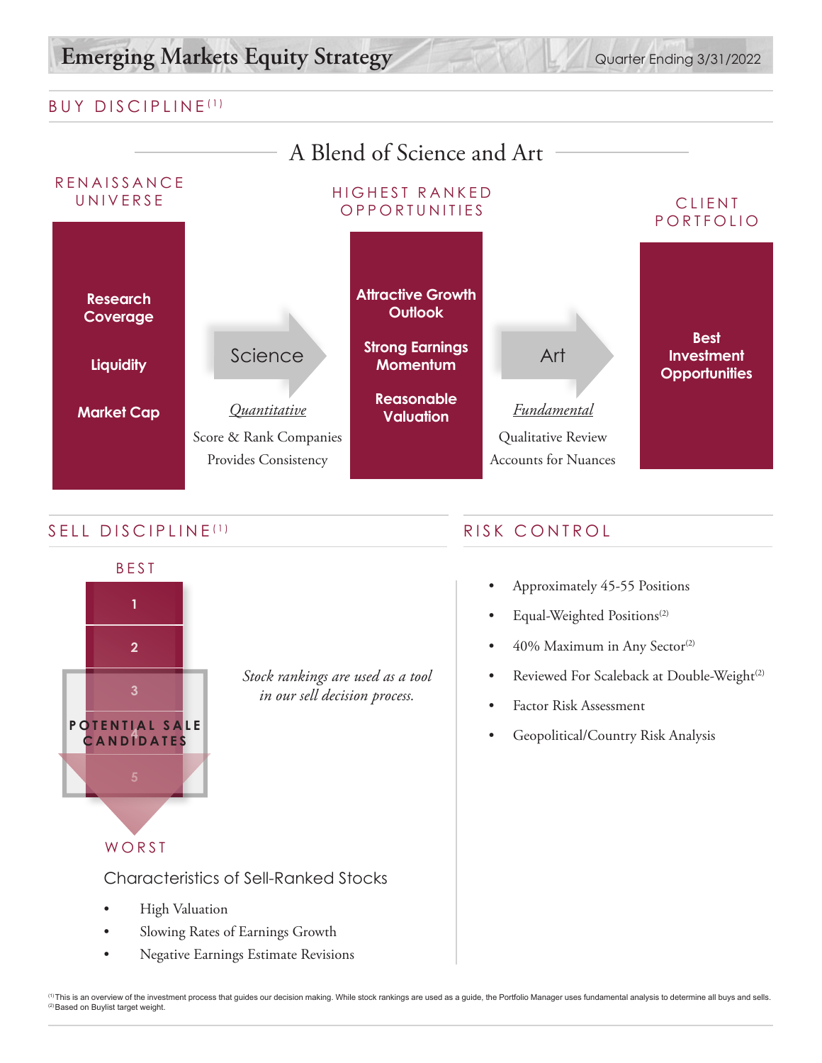# Emerging Markets Equity Strategy Quarter Ending 3/31/2022

### BUY DISCIPLINE (1)



### SELL DISCIPLINE<sup>(1)</sup> RISK CONTROL



*Stock rankings are used as a tool in our sell decision process.*

WORST

Characteristics of Sell-Ranked Stocks

- High Valuation
- Slowing Rates of Earnings Growth
- Negative Earnings Estimate Revisions

- Approximately 45-55 Positions
- Equal-Weighted Positions<sup>(2)</sup>
- 40% Maximum in Any Sector<sup>(2)</sup>
- Reviewed For Scaleback at Double-Weight<sup>(2)</sup>
- Factor Risk Assessment
- Geopolitical/Country Risk Analysis

′<sup>n</sup> This is an overview of the investment process that guides our decision making. While stock rankings are used as a guide, the Portfolio Manager uses fundamental analysis to determine all buys and sells.<br><sup>⊘</sup>Based on Bu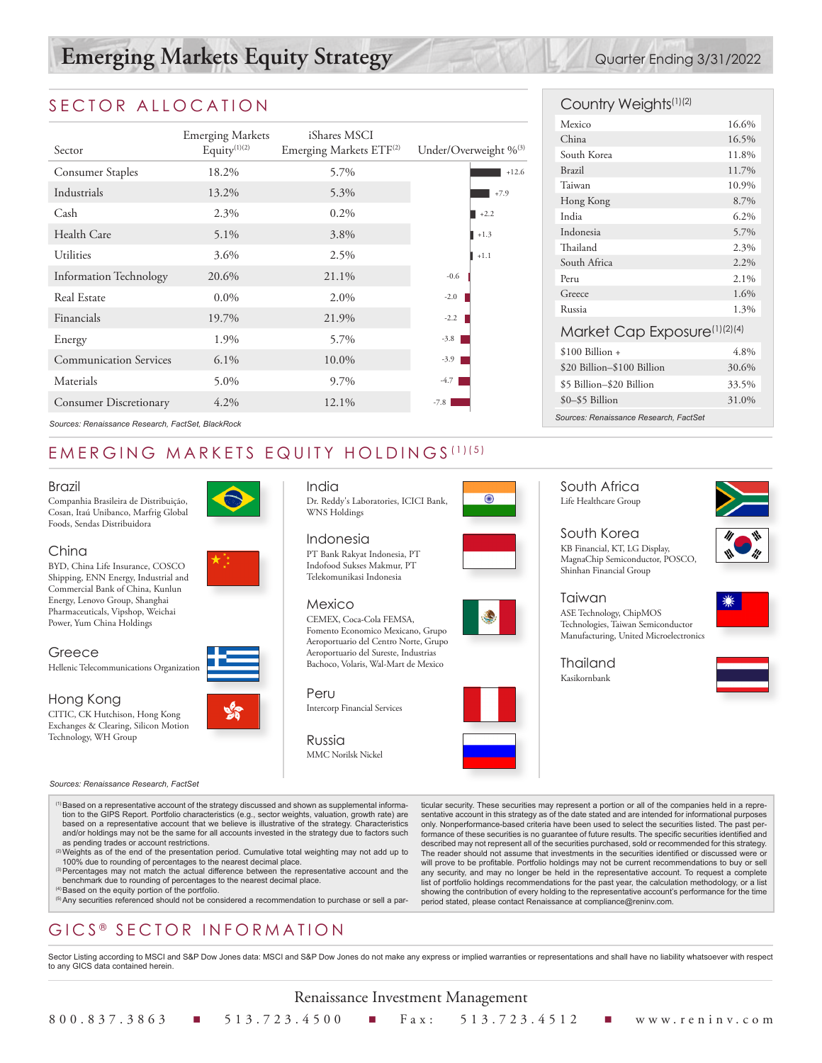# **Emerging Markets Equity Strategy** Quarter Ending 3/31/2022

### SECTOR ALLOCATION

|                                                   |                         |                                     |        |                                   | Mexico                                 |
|---------------------------------------------------|-------------------------|-------------------------------------|--------|-----------------------------------|----------------------------------------|
|                                                   | <b>Emerging Markets</b> | iShares MSCI                        |        |                                   | China                                  |
| Sector                                            | Equity $(1)(2)$         | Emerging Markets ETF <sup>(2)</sup> |        | Under/Overweight % <sup>(3)</sup> | South Korea                            |
| <b>Consumer Staples</b>                           | 18.2%                   | 5.7%                                |        | $+12.6$                           | <b>Brazil</b>                          |
| Industrials                                       | 13.2%                   | 5.3%                                |        | $+7.9$                            | Taiwan                                 |
|                                                   |                         |                                     |        |                                   | Hong Kong                              |
| Cash                                              | 2.3%                    | $0.2\%$                             |        | $\blacksquare$ +2.2               | India                                  |
| Health Care                                       | 5.1%                    | 3.8%                                |        | $\blacksquare$ +1.3               | Indonesia                              |
| Utilities                                         | 3.6%                    | 2.5%                                |        | $+1.1$                            | Thailand                               |
|                                                   |                         |                                     |        |                                   | South Africa                           |
| <b>Information Technology</b>                     | 20.6%                   | 21.1%                               | $-0.6$ |                                   | Peru                                   |
| Real Estate                                       | $0.0\%$                 | 2.0%                                | $-2.0$ |                                   | Greece                                 |
| Financials                                        | 19.7%                   | 21.9%                               | $-2.2$ |                                   | Russia                                 |
|                                                   |                         |                                     |        |                                   | Market Cap Exposure                    |
| Energy                                            | 1.9%                    | 5.7%                                | $-3.8$ |                                   |                                        |
| <b>Communication Services</b>                     | 6.1%                    | 10.0%                               | $-3.9$ |                                   | $$100$ Billion +                       |
|                                                   |                         |                                     |        |                                   | \$20 Billion-\$100 Billion             |
| Materials                                         | 5.0%                    | 9.7%                                | $-4.7$ |                                   | \$5 Billion-\$20 Billion               |
| <b>Consumer Discretionary</b>                     | 4.2%                    | 12.1%                               | $-7.8$ |                                   | \$0-\$5 Billion                        |
| Sources: Renaissance Research, FactSet, BlackRock |                         |                                     |        |                                   | Sources: Renaissance Research, FactSet |

## EMERGING MARKETS EQUITY HOLDINGS (1)(5)

#### Brazil

Companhia Brasileira de Distribuição, Cosan, Itaú Unibanco, Marfrig Global Foods, Sendas Distribuidora

#### China

BYD, China Life Insurance, COSCO Shipping, ENN Energy, Industrial and Commercial Bank of China, Kunlun Energy, Lenovo Group, Shanghai Pharmaceuticals, Vipshop, Weichai Power, Yum China Holdings

#### Greece

Hellenic Telecommunications Organization

### Hong Kong

CITIC, CK Hutchison, Hong Kong Exchanges & Clearing, Silicon Motion Technology, WH Group

#### *Sources: Renaissance Research, FactSet*



India

PT Bank Rakyat Indonesia, PT Indofood Sukses Makmur, PT Telekomunikasi Indonesia

#### Mexico

CEMEX, Coca-Cola FEMSA, Fomento Economico Mexicano, Grupo Aeroportuario del Centro Norte, Grupo Aeroportuario del Sureste, Industrias Bachoco, Volaris, Wal-Mart de Mexico

Peru Intercorp Financial Services









#### South Africa Life Healthcare Group

South Korea KB Financial, KT, LG Display, MagnaChip Semiconductor, POSCO, Shinhan Financial Group

#### Taiwan ASE Technology, ChipMOS Technologies, Taiwan Semiconductor Manufacturing, United Microelectronics

Thailand Kasikornbank





(1)Based on a representative account of the strategy discussed and shown as supplemental information to the GIPS Report. Portfolio characteristics (e.g., sector weights, valuation, growth rate) are based on a representative account that we believe is illustrative of the strategy. Characteristics and/or holdings may not be the same for all accounts invested in the strategy due to factors such as pending trades or account restrictions.

- $^{(2)}$ Weights as of the end of the presentation period. Cumulative total weighting may not add up to 100% due to rounding of percentages to the nearest decimal place.
- (3) Percentages may not match the actual difference between the representative account and the
- 

## GICS ® SECTOR INFORMATION

Sector Listing according to MSCI and S&P Dow Jones data: MSCI and S&P Dow Jones do not make any express or implied warranties or representations and shall have no liability whatsoever with respect to any GICS data contained herein.

Renaissance Investment Management 800.837.3863 n 513.723.4500 n Fax: 513.723.4512 n www.reninv.com



Country Weights(1)(2)

Mexico 16.6% China 16.5% South Korea 11.8% Brazil 11.7% Taiwan 10.9% Hong Kong 8.7% India 6.2% Indonesia 5.7% Thailand 2.3% South Africa 2.2% Peru 2.1% Greece 1.6% Russia 1.3% Market Cap Exposure(1)(2)(4)  $$100 \text{ billion} + 4.8\%$ \$20 Billion–\$100 Billion 30.6% \$5 Billion–\$20 Billion 33.5% \$0–\$5 Billion 31.0%